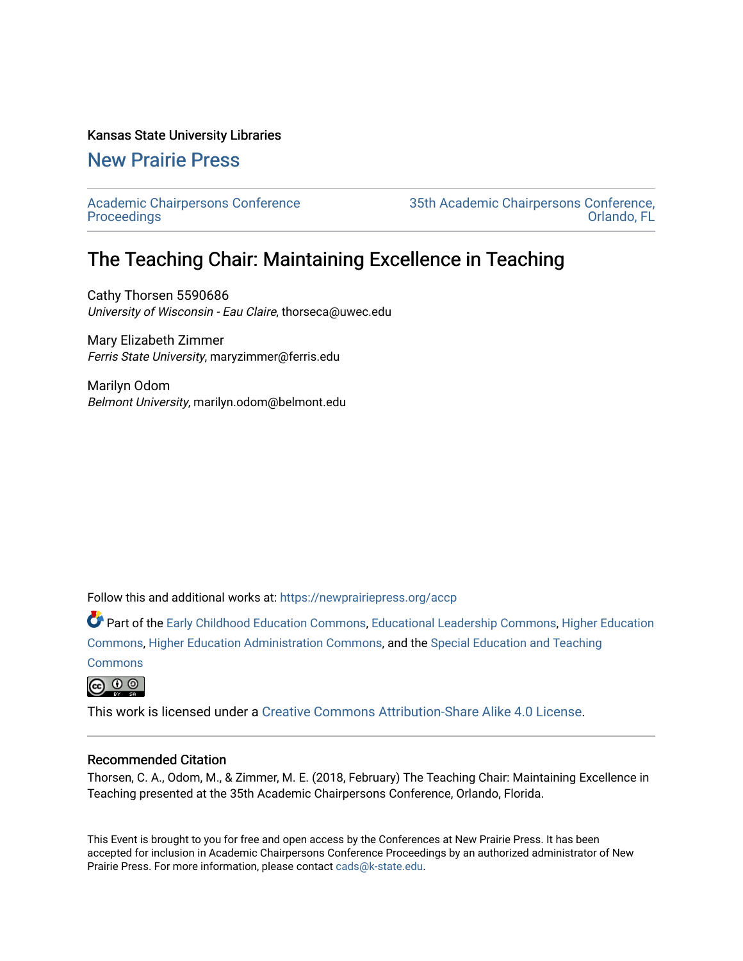## Kansas State University Libraries

## [New Prairie Press](https://newprairiepress.org/)

[Academic Chairpersons Conference](https://newprairiepress.org/accp)  **Proceedings** 

[35th Academic Chairpersons Conference,](https://newprairiepress.org/accp/2018)  [Orlando, FL](https://newprairiepress.org/accp/2018) 

## The Teaching Chair: Maintaining Excellence in Teaching

Cathy Thorsen 5590686 University of Wisconsin - Eau Claire, thorseca@uwec.edu

Mary Elizabeth Zimmer Ferris State University, maryzimmer@ferris.edu

Marilyn Odom Belmont University, marilyn.odom@belmont.edu

Follow this and additional works at: [https://newprairiepress.org/accp](https://newprairiepress.org/accp?utm_source=newprairiepress.org%2Faccp%2F2018%2Ftrends%2F8&utm_medium=PDF&utm_campaign=PDFCoverPages) 

Part of the [Early Childhood Education Commons,](http://network.bepress.com/hgg/discipline/1377?utm_source=newprairiepress.org%2Faccp%2F2018%2Ftrends%2F8&utm_medium=PDF&utm_campaign=PDFCoverPages) [Educational Leadership Commons,](http://network.bepress.com/hgg/discipline/1230?utm_source=newprairiepress.org%2Faccp%2F2018%2Ftrends%2F8&utm_medium=PDF&utm_campaign=PDFCoverPages) [Higher Education](http://network.bepress.com/hgg/discipline/1245?utm_source=newprairiepress.org%2Faccp%2F2018%2Ftrends%2F8&utm_medium=PDF&utm_campaign=PDFCoverPages) [Commons](http://network.bepress.com/hgg/discipline/1245?utm_source=newprairiepress.org%2Faccp%2F2018%2Ftrends%2F8&utm_medium=PDF&utm_campaign=PDFCoverPages), [Higher Education Administration Commons](http://network.bepress.com/hgg/discipline/791?utm_source=newprairiepress.org%2Faccp%2F2018%2Ftrends%2F8&utm_medium=PDF&utm_campaign=PDFCoverPages), and the [Special Education and Teaching](http://network.bepress.com/hgg/discipline/801?utm_source=newprairiepress.org%2Faccp%2F2018%2Ftrends%2F8&utm_medium=PDF&utm_campaign=PDFCoverPages)

**[Commons](http://network.bepress.com/hgg/discipline/801?utm_source=newprairiepress.org%2Faccp%2F2018%2Ftrends%2F8&utm_medium=PDF&utm_campaign=PDFCoverPages)** 



This work is licensed under a [Creative Commons Attribution-Share Alike 4.0 License.](https://creativecommons.org/licenses/by-sa/4.0/)

## Recommended Citation

Thorsen, C. A., Odom, M., & Zimmer, M. E. (2018, February) The Teaching Chair: Maintaining Excellence in Teaching presented at the 35th Academic Chairpersons Conference, Orlando, Florida.

This Event is brought to you for free and open access by the Conferences at New Prairie Press. It has been accepted for inclusion in Academic Chairpersons Conference Proceedings by an authorized administrator of New Prairie Press. For more information, please contact [cads@k-state.edu.](mailto:cads@k-state.edu)